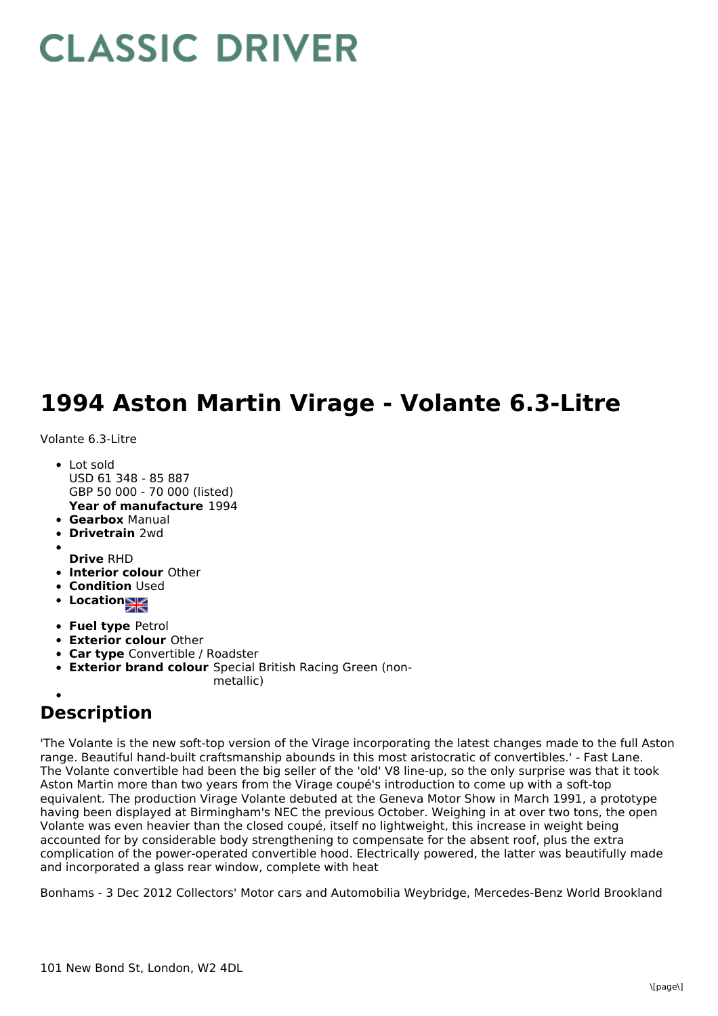## **CLASSIC DRIVER**

## **1994 Aston Martin Virage - Volante 6.3-Litre**

## Volante 6.3-Litre

- **Year of manufacture** 1994 • Lot sold USD 61 348 - 85 887 GBP 50 000 - 70 000 (listed)
- **Gearbox** Manual
- **Drivetrain** 2wd
- 
- **Drive** RHD
- **Interior colour** Other **• Condition Used**
- 
- **Location**
- **Fuel type** Petrol
- **Exterior colour** Other
- **Car type** Convertible / Roadster
- **Exterior brand colour** Special British Racing Green (non
	- metallic)

## **Description**

'The Volante is the new soft-top version of the Virage incorporating the latest changes made to the full Aston range. Beautiful hand-built craftsmanship abounds in this most aristocratic of convertibles.' - Fast Lane. The Volante convertible had been the big seller of the 'old' V8 line-up, so the only surprise was that it took Aston Martin more than two years from the Virage coupé's introduction to come up with a soft-top equivalent. The production Virage Volante debuted at the Geneva Motor Show in March 1991, a prototype having been displayed at Birmingham's NEC the previous October. Weighing in at over two tons, the open Volante was even heavier than the closed coupé, itself no lightweight, this increase in weight being accounted for by considerable body strengthening to compensate for the absent roof, plus the extra complication of the power-operated convertible hood. Electrically powered, the latter was beautifully made and incorporated a glass rear window, complete with heat

Bonhams - 3 Dec 2012 Collectors' Motor cars and Automobilia Weybridge, Mercedes-Benz World Brookland